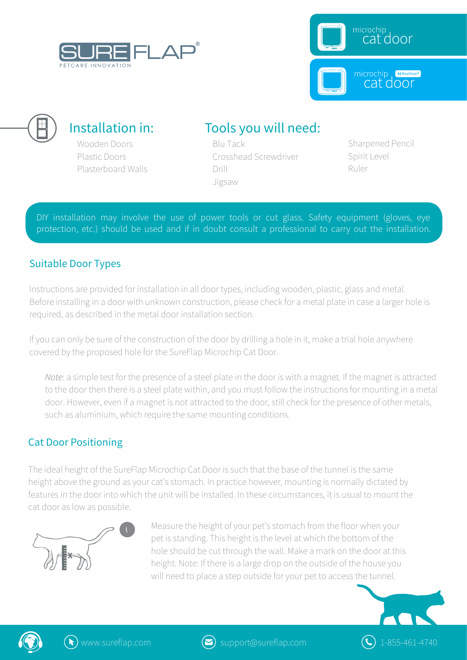





### Installation in:

Wooden Doors Plastic Doors Plasterboard Walls

# Tools you will need:

Blu Tack Crosshead Screwdriver Drill Jigsaw

Sharpened Pencil Spirit Level Ruler

DIY installation may involve the use of power tools or cut glass. Safety equipment (gloves, eye protection, etc.) should be used and if in doubt consult a professional to carry out the installation.

#### Suitable Door Types

Instructions are provided for installation in all door types, including wooden, plastic, glass and metal. Before installing in a door with unknown construction, please check for a metal plate in case a larger hole is required, as described in the metal door installation section.

If you can only be sure of the construction of the door by drilling a hole in it, make a trial hole anywhere covered by the proposed hole for the SureFlap Microchip Cat Door.

*Note*: a simple test for the presence of a steel plate in the door is with a magnet. If the magnet is attracted to the door then there is a steel plate within, and you must follow the instructions for mounting in a metal door. However, even if a magnet is not attracted to the door, still check for the presence of other metals, such as aluminium, which require the same mounting conditions.

#### Cat Door Positioning

The ideal height of the SureFlap Microchip Cat Door is such that the base of the tunnel is the same height above the ground as your cat's stomach. In practice however, mounting is normally dictated by features in the door into which the unit will be installed. In these circumstances, it is usual to mount the cat door as low as possible.



Measure the height of your pet's stomach from the floor when your pet is standing. This height is the level at which the bottom of the hole should be cut through the wall. Make a mark on the door at this height. Note: If there is a large drop on the outside of the house you will need to place a step outside for your pet to access the tunnel.





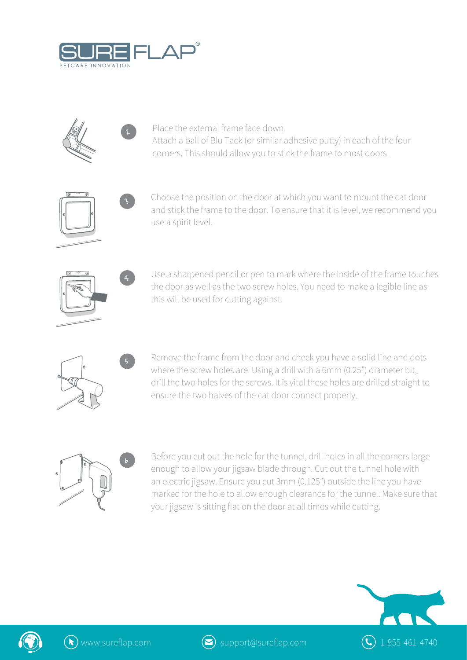

 $\mathbf{z}$ 

 $\iota$ 

4

5



Place the external frame face down. Attach a ball of Blu Tack (or similar adhesive putty) in each of the four corners. This should allow you to stick the frame to most doors.



Choose the position on the door at which you want to mount the cat door and stick the frame to the door. To ensure that it is level, we recommend you use a spirit level.



Use a sharpened pencil or pen to mark where the inside of the frame touches the door as well as the two screw holes. You need to make a legible line as this will be used for cutting against.



Remove the frame from the door and check you have a solid line and dots where the screw holes are. Using a drill with a 6mm (0.25") diameter bit, drill the two holes for the screws. It is vital these holes are drilled straight to ensure the two halves of the cat door connect properly.



Before you cut out the hole for the tunnel, drill holes in all the corners large enough to allow your jigsaw blade through. Cut out the tunnel hole with an electric jigsaw. Ensure you cut 3mm (0.125") outside the line you have marked for the hole to allow enough clearance for the tunnel. Make sure that your jigsaw is sitting flat on the door at all times while cutting.





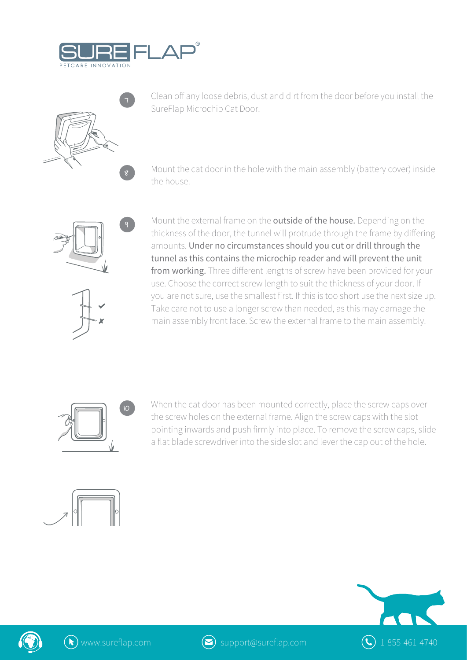



Clean off any loose debris, dust and dirt from the door before you install the SureFlap Microchip Cat Door.

Mount the cat door in the hole with the main assembly (battery cover) inside the house.



ř

Mount the external frame on the outside of the house. Depending on the thickness of the door, the tunnel will protrude through the frame by differing amounts. Under no circumstances should you cut or drill through the tunnel as this contains the microchip reader and will prevent the unit from working. Three different lengths of screw have been provided for your use. Choose the correct screw length to suit the thickness of your door. If you are not sure, use the smallest first. If this is too short use the next size up. Take care not to use a longer screw than needed, as this may damage the main assembly front face. Screw the external frame to the main assembly.



When the cat door has been mounted correctly, place the screw caps over the screw holes on the external frame. Align the screw caps with the slot pointing inwards and push firmly into place. To remove the screw caps, slide a flat blade screwdriver into the side slot and lever the cap out of the hole.







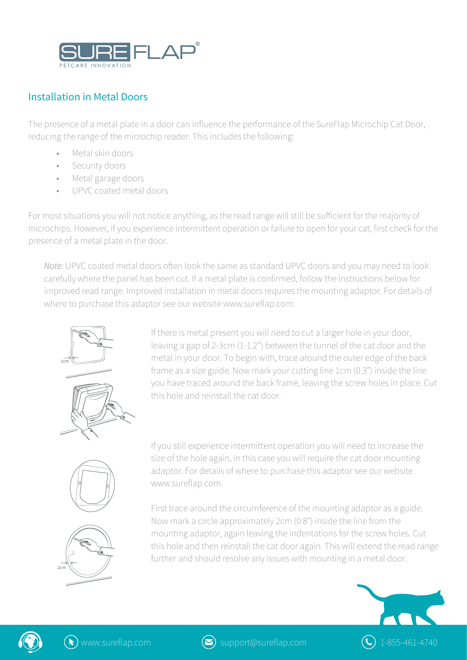

### Installation in Metal Doors

The presence of a metal plate in a door can influence the performance of the SureFlap Microchip Cat Door, reducing the range of the microchip reader. This includes the following:

- Metal skin doors
- Security doors
- Metal garage doors
- UPVC coated metal doors

For most situations you will not notice anything, as the read range will still be sufficient for the majority of microchips. However, if you experience intermittent operation or failure to open for your cat, first check for the presence of a metal plate in the door.

*Note:* UPVC coated metal doors often look the same as standard UPVC doors and you may need to look carefully where the panel has been cut. If a metal plate is confirmed, follow the instructions below for improved read range. Improved installation in metal doors requires the mounting adaptor. For details of where to purchase this adaptor see our website www.sureflap.com.



If there is metal present you will need to cut a larger hole in your door, leaving a gap of 2-3cm (1-1.2") between the tunnel of the cat door and the metal in your door. To begin with, trace around the outer edge of the back frame as a size guide. Now mark your cutting line 1cm (0.3") inside the line you have traced around the back frame, leaving the screw holes in place. Cut this hole and reinstall the cat door.

If you still experience intermittent operation you will need to increase the size of the hole again, in this case you will require the cat door mounting adaptor. For details of where to purchase this adaptor see our website www.sureflap.com.

First trace around the circumference of the mounting adaptor as a guide. Now mark a circle approximately 2cm (0.8") inside the line from the mounting adaptor, again leaving the indentations for the screw holes. Cut this hole and then reinstall the cat door again. This will extend the read range further and should resolve any issues with mounting in a metal door.





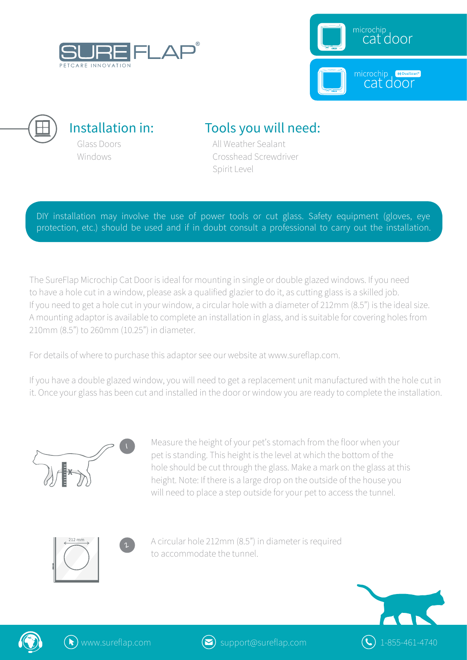





# Tools you will need:

All Weather Sealant Crosshead Screwdriver Spirit Level

DIY installation may involve the use of power tools or cut glass. Safety equipment (gloves, eye protection, etc.) should be used and if in doubt consult a professional to carry out the installation.

The SureFlap Microchip Cat Door is ideal for mounting in single or double glazed windows. If you need to have a hole cut in a window, please ask a qualified glazier to do it, as cutting glass is a skilled job. If you need to get a hole cut in your window, a circular hole with a diameter of 212mm (8.5") is the ideal size. A mounting adaptor is available to complete an installation in glass, and is suitable for covering holes from 210mm (8.5") to 260mm (10.25") in diameter.

For details of where to purchase this adaptor see our website at www.sureflap.com.

If you have a double glazed window, you will need to get a replacement unit manufactured with the hole cut in it. Once your glass has been cut and installed in the door or window you are ready to complete the installation.



Measure the height of your pet's stomach from the floor when your pet is standing. This height is the level at which the bottom of the hole should be cut through the glass. Make a mark on the glass at this height. Note: If there is a large drop on the outside of the house you will need to place a step outside for your pet to access the tunnel.





A circular hole 212mm (8.5") in diameter is required to accommodate the tunnel.





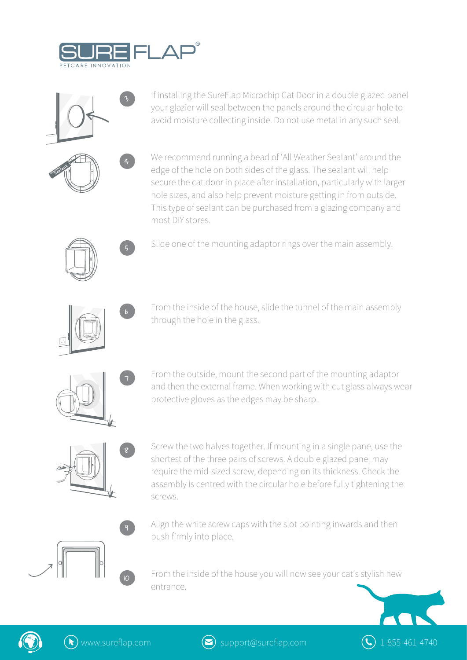



If installing the SureFlap Microchip Cat Door in a double glazed panel your glazier will seal between the panels around the circular hole to avoid moisture collecting inside. Do not use metal in any such seal.



We recommend running a bead of 'All Weather Sealant' around the edge of the hole on both sides of the glass. The sealant will help secure the cat door in place after installation, particularly with larger hole sizes, and also help prevent moisture getting in from outside. This type of sealant can be purchased from a glazing company and most DIY stores.



Slide one of the mounting adaptor rings over the main assembly.



6

From the inside of the house, slide the tunnel of the main assembly through the hole in the glass.



From the outside, mount the second part of the mounting adaptor and then the external frame. When working with cut glass always wear protective gloves as the edges may be sharp.



Screw the two halves together. If mounting in a single pane, use the shortest of the three pairs of screws. A double glazed panel may require the mid-sized screw, depending on its thickness. Check the assembly is centred with the circular hole before fully tightening the screws.



From the inside of the house you will now see your cat's stylish new entrance.





ř

 $\circ$ 

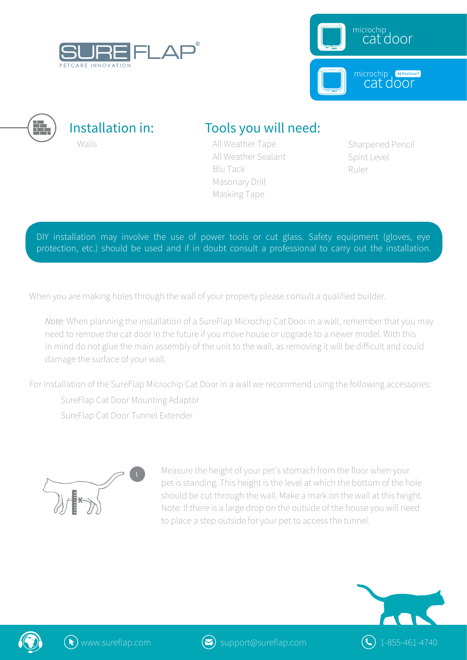





### Tools you will need:

All Weather Tape All Weather Sealant Blu Tack Masonary Drill Masking Tape

Sharpened Pencil Spirit Level Ruler

DIY installation may involve the use of power tools or cut glass. Safety equipment (gloves, eye protection, etc.) should be used and if in doubt consult a professional to carry out the installation.

When you are making holes through the wall of your property please consult a qualified builder.

*Note:* When planning the installation of a SureFlap Microchip Cat Door in a wall, remember that you may need to remove the cat door in the future if you move house or upgrade to a newer model. With this in mind do not glue the main assembly of the unit to the wall, as removing it will be difficult and could damage the surface of your wall.

For installation of the SureFlap Microchip Cat Door in a wall we recommend using the following accessories:

SureFlap Cat Door Mounting Adaptor SureFlap Cat Door Tunnel Extender



Measure the height of your pet's stomach from the floor when your pet is standing. This height is the level at which the bottom of the hole should be cut through the wall. Make a mark on the wall at this height. Note: If there is a large drop on the outside of the house you will need to place a step outside for your pet to access the tunnel.





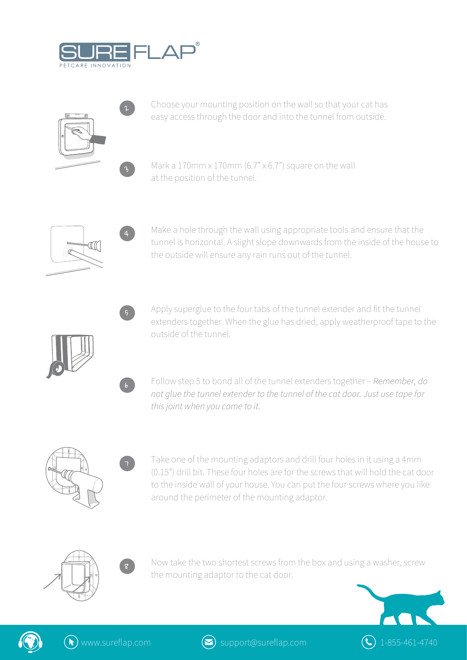

 $\iota$ 

 $\mathbf{z}$ 

4

5

6

7



Choose your mounting position on the wall so that your cat has easy access through the door and into the tunnel from outside.

Mark a 170mm x 170mm (6.7"  $\times$  6.7") square on the wall at the position of the tunnel.



Make a hole through the wall using appropriate tools and ensure that the tunnel is horizontal. A slight slope downwards from the inside of the house to the outside will ensure any rain runs out of the tunnel.

Apply superglue to the four tabs of the tunnel extender and fit the tunnel extenders together. When the glue has dried, apply weatherproof tape to the outside of the tunnel.

Follow step 5 to bond all of the tunnel extenders together – *Remember, do not glue the tunnel extender to the tunnel of the cat door. Just use tape for this joint when you come to it.*



Take one of the mounting adaptors and drill four holes in it using a 4mm (0.15") drill bit. These four holes are for the screws that will hold the cat door to the inside wall of your house. You can put the four screws where you like around the perimeter of the mounting adaptor.





Now take the two shortest screws from the box and using a washer, screw the mounting adaptor to the cat door.





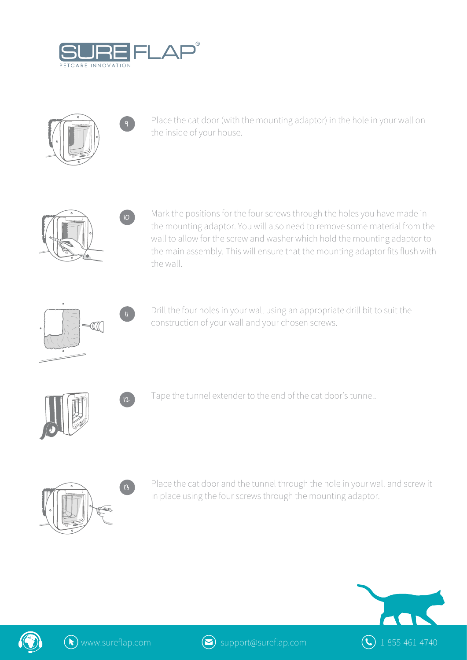

9

 $\overline{10}$ 



Place the cat door (with the mounting adaptor) in the hole in your wall on the inside of your house.



Mark the positions for the four screws through the holes you have made in the mounting adaptor. You will also need to remove some material from the wall to allow for the screw and washer which hold the mounting adaptor to the main assembly. This will ensure that the mounting adaptor fits flush with the wall.





Drill the four holes in your wall using an appropriate drill bit to suit the construction of your wall and your chosen screws.



 $\mathbf{p}$  Tape the tunnel extender to the end of the cat door's tunnel.



Place the cat door and the tunnel through the hole in your wall and screw it in place using the four screws through the mounting adaptor.